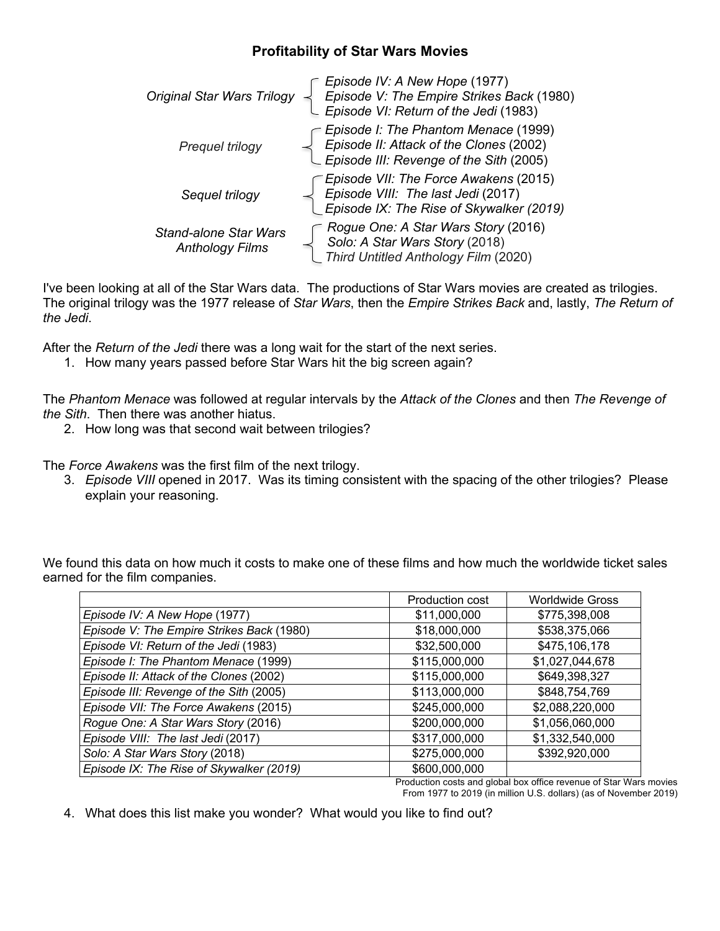## **Profitability of Star Wars Movies**

| <b>Original Star Wars Trilogy</b>                      | Episode IV: A New Hope (1977)<br>Episode V: The Empire Strikes Back (1980)<br>Episode VI: Return of the Jedi (1983)                |
|--------------------------------------------------------|------------------------------------------------------------------------------------------------------------------------------------|
| Prequel trilogy                                        | - Episode I: The Phantom Menace (1999)<br>Episode II: Attack of the Clones (2002)<br>_ Episode III: Revenge of the Sith (2005)     |
| Sequel trilogy                                         | <i>C Episode VII: The Force Awakens (2015)</i><br>Episode VIII: The last Jedi (2017)<br>_ Episode IX: The Rise of Skywalker (2019) |
| <b>Stand-alone Star Wars</b><br><b>Anthology Films</b> | Rogue One: A Star Wars Story (2016)<br>Solo: A Star Wars Story (2018)<br>Third Untitled Anthology Film (2020)                      |

I've been looking at all of the Star Wars data. The productions of Star Wars movies are created as trilogies. The original trilogy was the 1977 release of *Star Wars*, then the *Empire Strikes Back* and, lastly, *The Return of the Jedi*.

After the *Return of the Jedi* there was a long wait for the start of the next series.

1. How many years passed before Star Wars hit the big screen again?

The *Phantom Menace* was followed at regular intervals by the *Attack of the Clones* and then *The Revenge of the Sith*. Then there was another hiatus.

2. How long was that second wait between trilogies?

The *Force Awakens* was the first film of the next trilogy.

3. *Episode VIII* opened in 2017. Was its timing consistent with the spacing of the other trilogies? Please explain your reasoning.

We found this data on how much it costs to make one of these films and how much the worldwide ticket sales earned for the film companies.

|                                           | Production cost | <b>Worldwide Gross</b> |
|-------------------------------------------|-----------------|------------------------|
| Episode IV: A New Hope (1977)             | \$11,000,000    | \$775,398,008          |
| Episode V: The Empire Strikes Back (1980) | \$18,000,000    | \$538,375,066          |
| Episode VI: Return of the Jedi (1983)     | \$32,500,000    | \$475,106,178          |
| Episode I: The Phantom Menace (1999)      | \$115,000,000   | \$1,027,044,678        |
| Episode II: Attack of the Clones (2002)   | \$115,000,000   | \$649,398,327          |
| Episode III: Revenge of the Sith (2005)   | \$113,000,000   | \$848,754,769          |
| Episode VII: The Force Awakens (2015)     | \$245,000,000   | \$2,088,220,000        |
| Rogue One: A Star Wars Story (2016)       | \$200,000,000   | \$1,056,060,000        |
| Episode VIII: The last Jedi (2017)        | \$317,000,000   | \$1,332,540,000        |
| Solo: A Star Wars Story (2018)            | \$275,000,000   | \$392,920,000          |
| Episode IX: The Rise of Skywalker (2019)  | \$600,000,000   |                        |

Production costs and global box office revenue of Star Wars movies From 1977 to 2019 (in million U.S. dollars) (as of November 2019)

4. What does this list make you wonder? What would you like to find out?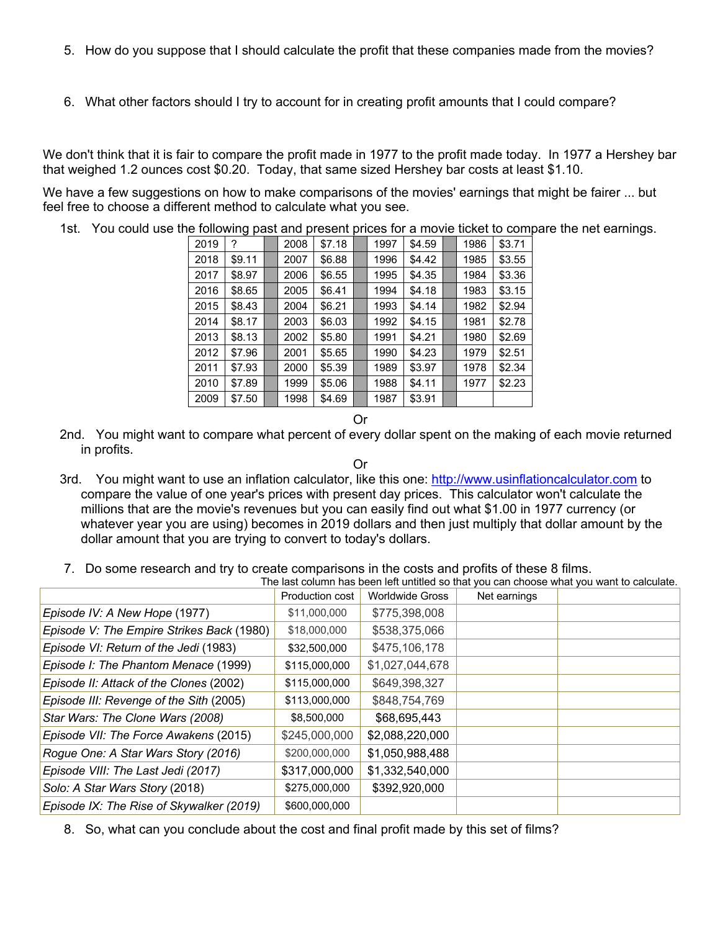- 5. How do you suppose that I should calculate the profit that these companies made from the movies?
- 6. What other factors should I try to account for in creating profit amounts that I could compare?

We don't think that it is fair to compare the profit made in 1977 to the profit made today. In 1977 a Hershey bar that weighed 1.2 ounces cost \$0.20. Today, that same sized Hershey bar costs at least \$1.10.

We have a few suggestions on how to make comparisons of the movies' earnings that might be fairer ... but feel free to choose a different method to calculate what you see.

1st. You could use the following past and present prices for a movie ticket to compare the net earnings.

|      | חים ב  |      |        |      |        |      |        |
|------|--------|------|--------|------|--------|------|--------|
| 2019 | ?      | 2008 | \$7.18 | 1997 | \$4.59 | 1986 | \$3.71 |
| 2018 | \$9.11 | 2007 | \$6.88 | 1996 | \$4.42 | 1985 | \$3.55 |
| 2017 | \$8.97 | 2006 | \$6.55 | 1995 | \$4.35 | 1984 | \$3.36 |
| 2016 | \$8.65 | 2005 | \$6.41 | 1994 | \$4.18 | 1983 | \$3.15 |
| 2015 | \$8.43 | 2004 | \$6.21 | 1993 | \$4.14 | 1982 | \$2.94 |
| 2014 | \$8.17 | 2003 | \$6.03 | 1992 | \$4.15 | 1981 | \$2.78 |
| 2013 | \$8.13 | 2002 | \$5.80 | 1991 | \$4.21 | 1980 | \$2.69 |
| 2012 | \$7.96 | 2001 | \$5.65 | 1990 | \$4.23 | 1979 | \$2.51 |
| 2011 | \$7.93 | 2000 | \$5.39 | 1989 | \$3.97 | 1978 | \$2.34 |
| 2010 | \$7.89 | 1999 | \$5.06 | 1988 | \$4.11 | 1977 | \$2.23 |
| 2009 | \$7.50 | 1998 | \$4.69 | 1987 | \$3.91 |      |        |

Or

2nd. You might want to compare what percent of every dollar spent on the making of each movie returned in profits.

Or

- 3rd. You might want to use an inflation calculator, like this one: http://www.usinflationcalculator.com to compare the value of one year's prices with present day prices. This calculator won't calculate the millions that are the movie's revenues but you can easily find out what \$1.00 in 1977 currency (or whatever year you are using) becomes in 2019 dollars and then just multiply that dollar amount by the dollar amount that you are trying to convert to today's dollars.
- 7. Do some research and try to create comparisons in the costs and profits of these 8 films. The last column has been left untitled so that you can choose what you want to calculate.

|                                           | <b>Production cost</b> | <b>Worldwide Gross</b> | Net earnings | THE ROL CORTILITIOS DEET IER UNINGG SO TRI YOU CAN CHOOSE WHAT YOU WANT TO CARGUILLE. |
|-------------------------------------------|------------------------|------------------------|--------------|---------------------------------------------------------------------------------------|
| Episode IV: A New Hope (1977)             | \$11,000,000           | \$775,398,008          |              |                                                                                       |
| Episode V: The Empire Strikes Back (1980) | \$18,000,000           | \$538,375,066          |              |                                                                                       |
| Episode VI: Return of the Jedi (1983)     | \$32,500,000           | \$475,106,178          |              |                                                                                       |
| Episode I: The Phantom Menace (1999)      | \$115,000,000          | \$1,027,044,678        |              |                                                                                       |
| Episode II: Attack of the Clones (2002)   | \$115,000,000          | \$649,398,327          |              |                                                                                       |
| Episode III: Revenge of the Sith (2005)   | \$113,000,000          | \$848,754,769          |              |                                                                                       |
| Star Wars: The Clone Wars (2008)          | \$8,500,000            | \$68,695,443           |              |                                                                                       |
| Episode VII: The Force Awakens (2015)     | \$245,000,000          | \$2,088,220,000        |              |                                                                                       |
| Rogue One: A Star Wars Story (2016)       | \$200,000,000          | \$1,050,988,488        |              |                                                                                       |
| Episode VIII: The Last Jedi (2017)        | \$317,000,000          | \$1,332,540,000        |              |                                                                                       |
| Solo: A Star Wars Story (2018)            | \$275,000,000          | \$392,920,000          |              |                                                                                       |
| Episode IX: The Rise of Skywalker (2019)  | \$600,000,000          |                        |              |                                                                                       |

8. So, what can you conclude about the cost and final profit made by this set of films?